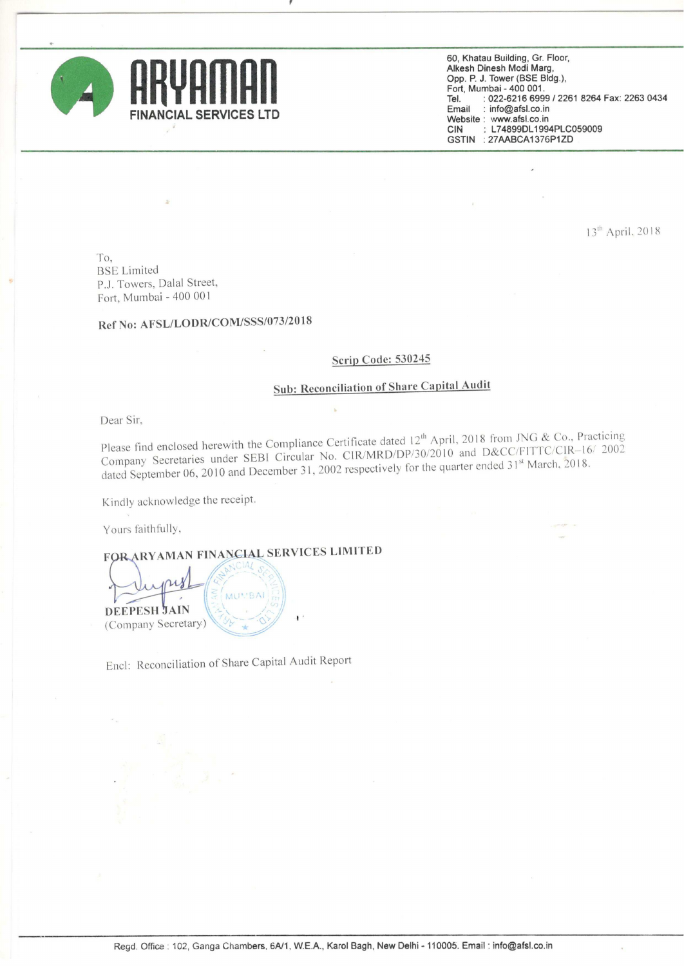

60. Khatau Building. Gr. Floor, Alkesh Dinesh Modi Marg, Opp. P. J. Tower (BSE Bldg.), Fort, Mumbai - 400 001. Tel. Email : : 022-6216 6999/2261 8264 Fax: 2263 0434 : info@afsl.co.in Website : www.afsl.co.in<br>CIN : L74899DL199 L74899DL1994PLC059009 GSTIN ; 27AABCA1376P1ZD

13<sup>th</sup> April, 2018

To, BSE Limited PJ. Towers, Dalal Street, Fort, Mumbai - 400 001

## Ref No: AFSL/LODR/COM/SSS/073/2018

#### Scrip Code: 530245

### Sub: Reconciliation of Share Capital Audit

Dear Sir.

Please find enclosed herewith the Compliance Certificate dated  $12^{th}$  April, 2018 from JNG & Co., Practicing<br>(19) APD/DP/20/2010, and D&CC/FITTC/CIR-16/ 2002 Please find enclosed herewith the Comphanice Center SER/MRD/DP/30/2010 and D&CC/FITTC/CIR-16/2002<br>Company Secretaries under SEBI Circular No. CIR/MRD/DP/30/2010 and D&CC/FITTC/CIR-16/2002 dated September 06. <sup>2010</sup> and December 31. <sup>2002</sup> respectively for the qu arter ended 31" March. 2018.

Kindly acknowledge the receipt.

Yours faithfully,

RYAMAN FINANCIAL SERVICES LIMITED



Encl: Reconciliation of Share Capital Audit Report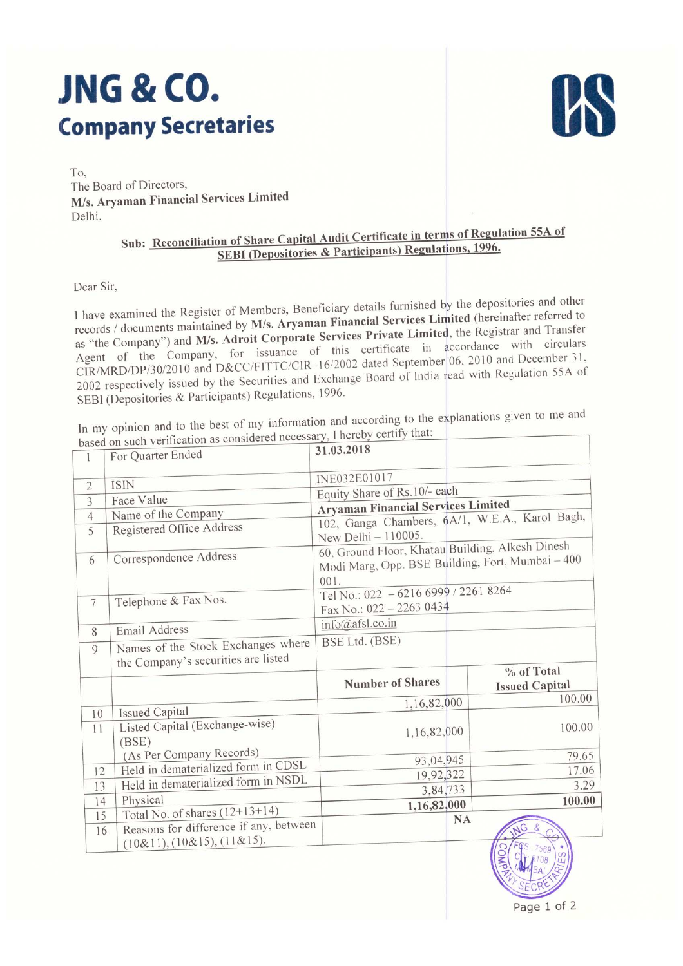# .ING & CO. Company Secretaries



To, The Board of Directors, M/s. Aryaman Financial Services Limited Delhi.

## Sub: Reconciliation of Share Capital Audit Certificate in terms of Regulation 55A of SEBI (Depositories & Participants) Regulations, 1996.

Dear Sir,

<sup>I</sup> have examined the Register of Members, Beneficiary details furnished by the depositories and other records / documents maintained by M/s. Aryaman Financial Services Limited (hereinafter referred to as "the Company") and M/s. Adroit Corporate Services Private Limited, the Registrar and Transfer Agent of the Company. for issuance of this certificate in accordance with circulars CIR/MRD/DP/30/2010 and D&CC/FITTC/CIR-16/2002 dated September 06, 2010 and December 31, <sup>2002</sup> respectively issued by the Securities and Exchange Board of India read with Regulation 55A of SEBl (Depositories & Participants) Regulations, 1996.

In my opinion and to the best of my information and according to the explanations given to me and as considered necessary, I hereby certify that:

|                 | based on such verification as considered necessary, i here | 31.03.2018                                       |                       |  |  |  |
|-----------------|------------------------------------------------------------|--------------------------------------------------|-----------------------|--|--|--|
| 1               | For Quarter Ended                                          |                                                  |                       |  |  |  |
|                 | <b>ISIN</b>                                                | INE032E01017                                     |                       |  |  |  |
| $\overline{2}$  |                                                            | Equity Share of Rs.10/- each                     |                       |  |  |  |
| 3               | Face Value                                                 | <b>Aryaman Financial Services Limited</b>        |                       |  |  |  |
| $\overline{4}$  | Name of the Company                                        | 102, Ganga Chambers, 6A/1, W.E.A., Karol Bagh,   |                       |  |  |  |
| 5               | Registered Office Address                                  | New Delhi - 110005.                              |                       |  |  |  |
|                 |                                                            | 60, Ground Floor, Khatau Building, Alkesh Dinesh |                       |  |  |  |
| 6               | Correspondence Address                                     | Modi Marg, Opp. BSE Building, Fort, Mumbai - 400 |                       |  |  |  |
|                 |                                                            | 001.                                             |                       |  |  |  |
|                 | Telephone & Fax Nos.                                       | Tel No.: 022 - 6216 6999 / 2261 8264             |                       |  |  |  |
| $7\phantom{.0}$ |                                                            | Fax No.: 022 - 2263 0434                         |                       |  |  |  |
| 8               | Email Address                                              | info@afsl.co.in                                  |                       |  |  |  |
|                 | Names of the Stock Exchanges where                         | BSE Ltd. (BSE)                                   |                       |  |  |  |
| $\overline{9}$  | the Company's securities are listed                        |                                                  |                       |  |  |  |
|                 |                                                            |                                                  | % of Total            |  |  |  |
|                 |                                                            | <b>Number of Shares</b>                          | <b>Issued Capital</b> |  |  |  |
|                 |                                                            | 1,16,82,000                                      | 100.00                |  |  |  |
| 10              | <b>Issued Capital</b>                                      |                                                  |                       |  |  |  |
| 11              | Listed Capital (Exchange-wise)                             | 1,16,82,000                                      | 100.00                |  |  |  |
|                 | (BSE)                                                      |                                                  |                       |  |  |  |
|                 | (As Per Company Records)                                   | 93,04,945                                        | 79.65                 |  |  |  |
| 12              | Held in dematerialized form in CDSL                        | 19,92,322                                        | 17.06                 |  |  |  |
| 13              | Held in dematerialized form in NSDL                        | 3,84,733                                         | 3.29                  |  |  |  |
| 14              | Physical                                                   | 1,16,82,000                                      | 100.00                |  |  |  |
| 15              | Total No. of shares (12+13+14)                             | NA                                               |                       |  |  |  |
| 16              | Reasons for difference if any, between                     |                                                  |                       |  |  |  |
|                 | (10&11), (10&15), (11&15).                                 |                                                  |                       |  |  |  |
|                 |                                                            |                                                  | <b>OMPR</b>           |  |  |  |
|                 |                                                            |                                                  |                       |  |  |  |
|                 |                                                            |                                                  | SECRE                 |  |  |  |